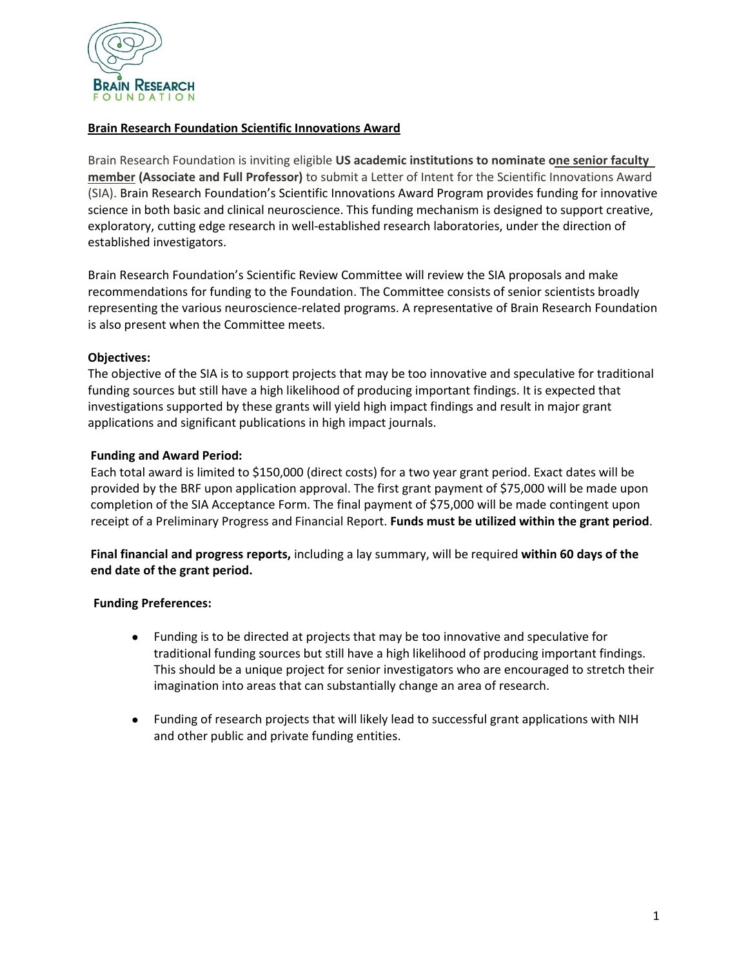

## **Brain Research Foundation Scientific Innovations Award**

Brain Research Foundation is inviting eligible **US academic institutions to nominate one senior faculty member (Associate and Full Professor)** to submit a Letter of Intent for the Scientific Innovations Award (SIA). Brain Research Foundation's Scientific Innovations Award Program provides funding for innovative science in both basic and clinical neuroscience. This funding mechanism is designed to support creative, exploratory, cutting edge research in well-established research laboratories, under the direction of established investigators.

Brain Research Foundation's Scientific Review Committee will review the SIA proposals and make recommendations for funding to the Foundation. The Committee consists of senior scientists broadly representing the various neuroscience-related programs. A representative of Brain Research Foundation is also present when the Committee meets.

## **Objectives:**

The objective of the SIA is to support projects that may be too innovative and speculative for traditional funding sources but still have a high likelihood of producing important findings. It is expected that investigations supported by these grants will yield high impact findings and result in major grant applications and significant publications in high impact journals.

## **Funding and Award Period:**

Each total award is limited to \$150,000 (direct costs) for a two year grant period. Exact dates will be provided by the BRF upon application approval. The first grant payment of \$75,000 will be made upon completion of the SIA Acceptance Form. The final payment of \$75,000 will be made contingent upon receipt of a Preliminary Progress and Financial Report. **Funds must be utilized within the grant period**.

**Final financial and progress reports,** including a lay summary, will be required **within 60 days of the end date of the grant period.** 

# **Funding Preferences:**

- Funding is to be directed at projects that may be too innovative and speculative for traditional funding sources but still have a high likelihood of producing important findings. This should be a unique project for senior investigators who are encouraged to stretch their imagination into areas that can substantially change an area of research.
- Funding of research projects that will likely lead to successful grant applications with NIH and other public and private funding entities.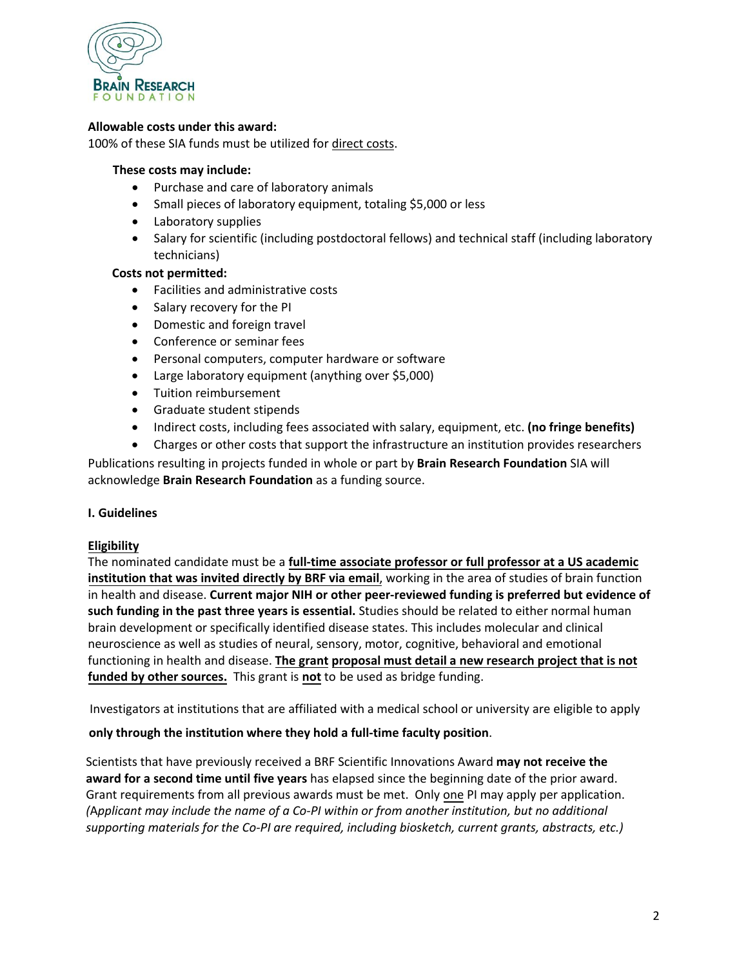

### **Allowable costs under this award:**

100% of these SIA funds must be utilized for direct costs.

#### **These costs may include:**

- Purchase and care of laboratory animals
- Small pieces of laboratory equipment, totaling \$5,000 or less
- Laboratory supplies
- Salary for scientific (including postdoctoral fellows) and technical staff (including laboratory technicians)

#### **Costs not permitted:**

- Facilities and administrative costs
- Salary recovery for the PI
- Domestic and foreign travel
- Conference or seminar fees
- Personal computers, computer hardware or software
- Large laboratory equipment (anything over \$5,000)
- Tuition reimbursement
- Graduate student stipends
- Indirect costs, including fees associated with salary, equipment, etc. **(no fringe benefits)**
- Charges or other costs that support the infrastructure an institution provides researchers

Publications resulting in projects funded in whole or part by **Brain Research Foundation** SIA will acknowledge **Brain Research Foundation** as a funding source.

#### **I. Guidelines**

#### **Eligibility**

The nominated candidate must be a **full-time associate professor or full professor at a US academic institution that was invited directly by BRF via email**, working in the area of studies of brain function in health and disease. **Current major NIH or other peer-reviewed funding is preferred but evidence of such funding in the past three years is essential.** Studies should be related to either normal human brain development or specifically identified disease states. This includes molecular and clinical neuroscience as well as studies of neural, sensory, motor, cognitive, behavioral and emotional functioning in health and disease. **The grant proposal must detail a new research project that is not funded by other sources.** This grant is **not** to be used as bridge funding.

Investigators at institutions that are affiliated with a medical school or university are eligible to apply

#### **only through the institution where they hold a full-time faculty position**.

Scientists that have previously received a BRF Scientific Innovations Award **may not receive the award for a second time until five years** has elapsed since the beginning date of the prior award. Grant requirements from all previous awards must be met. Only one PI may apply per application. *(*A*pplicant may include the name of a Co-PI within or from another institution, but no additional supporting materials for the Co-PI are required, including biosketch, current grants, abstracts, etc.)*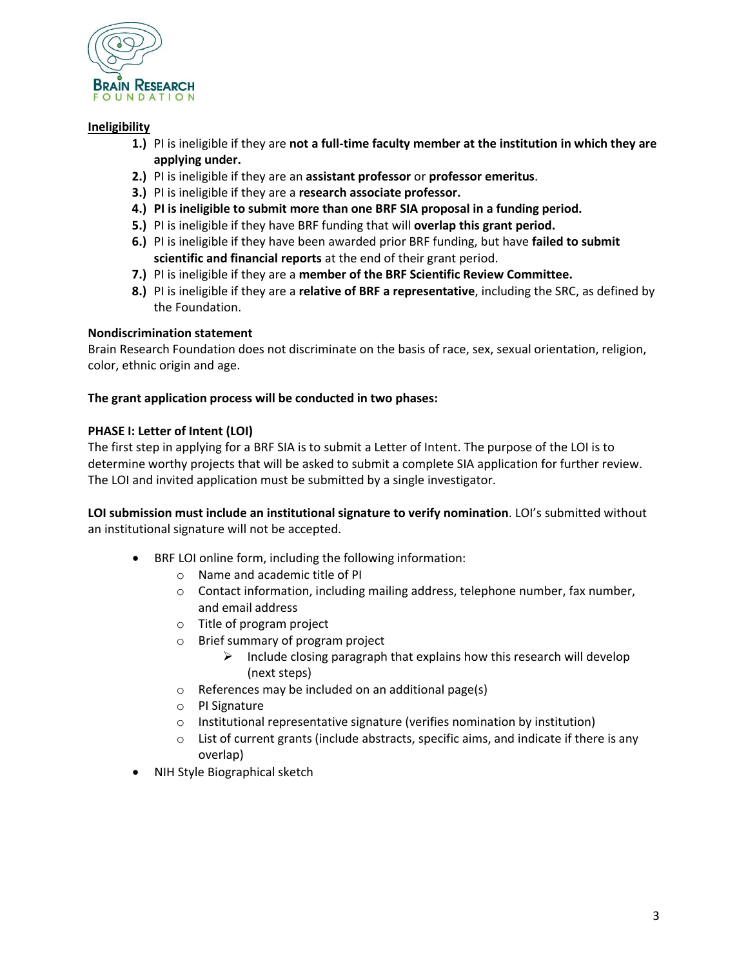

## **Ineligibility**

- **1.)** PI is ineligible if they are **not a full-time faculty member at the institution in which they are applying under.**
- **2.)** PI is ineligible if they are an **assistant professor** or **professor emeritus**.
- **3.)** PI is ineligible if they are a **research associate professor.**
- **4.) PI is ineligible to submit more than one BRF SIA proposal in a funding period.**
- **5.)** PI is ineligible if they have BRF funding that will **overlap this grant period.**
- **6.)** PI is ineligible if they have been awarded prior BRF funding, but have **failed to submit scientific and financial reports** at the end of their grant period.
- **7.)** PI is ineligible if they are a **member of the BRF Scientific Review Committee.**
- **8.)** PI is ineligible if they are a **relative of BRF a representative**, including the SRC, as defined by the Foundation.

## **Nondiscrimination statement**

Brain Research Foundation does not discriminate on the basis of race, sex, sexual orientation, religion, color, ethnic origin and age.

### **/X The grant application process will be conducted in two phases:**

## **PHASE I: Letter of Intent (LOI)**

The first step in applying for a BRF SIA is to submit a Letter of Intent. The purpose of the LOI is to determine worthy projects that will be asked to submit a complete SIA application for further review. The LOI and invited application must be submitted by a single investigator.

**LOI submission must include an institutional signature to verify nomination**. LOI's submitted without an institutional signature will not be accepted.

- BRF LOI online form, including the following information:
	- o Name and academic title of PI
	- $\circ$  Contact information, including mailing address, telephone number, fax number, and email address
	- o Title of program project
	- o [Brief su](http://research.thebrf.org/)mmary of program project
		- Include closing paragraph that explains how this research will develop (next steps)
	- o References may be included on an additional page(s)
	- o PI Signature
	- o Institutional representative signature (verifies nomination by institution)
	- $\circ$  List of current grants (include abstracts, specific aims, and indicate if there is any overlap)
- NIH Style Biographical sketch